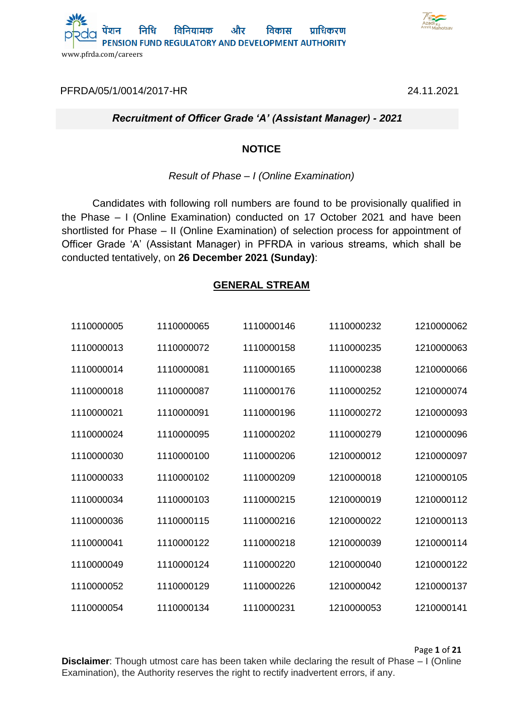



[PFRDA/05/1/0014/2017-HR](https://pfrda.eoffice.gov.in/eFile/?x=t*rEJkmSmDXGCLr*RjfIOXZy95KLjvVy) 24.11.2021

## *Recruitment of Officer Grade 'A' (Assistant Manager) - 2021*

### **NOTICE**

### *Result of Phase – I (Online Examination)*

Candidates with following roll numbers are found to be provisionally qualified in the Phase – I (Online Examination) conducted on 17 October 2021 and have been shortlisted for Phase – II (Online Examination) of selection process for appointment of Officer Grade 'A' (Assistant Manager) in PFRDA in various streams, which shall be conducted tentatively, on **26 December 2021 (Sunday)**:

## **GENERAL STREAM**

| 1110000005 | 1110000065 | 1110000146 | 1110000232 | 1210000062 |
|------------|------------|------------|------------|------------|
| 1110000013 | 1110000072 | 1110000158 | 1110000235 | 1210000063 |
| 1110000014 | 1110000081 | 1110000165 | 1110000238 | 1210000066 |
| 1110000018 | 1110000087 | 1110000176 | 1110000252 | 1210000074 |
| 1110000021 | 1110000091 | 1110000196 | 1110000272 | 1210000093 |
| 1110000024 | 1110000095 | 1110000202 | 1110000279 | 1210000096 |
| 1110000030 | 1110000100 | 1110000206 | 1210000012 | 1210000097 |
| 1110000033 | 1110000102 | 1110000209 | 1210000018 | 1210000105 |
| 1110000034 | 1110000103 | 1110000215 | 1210000019 | 1210000112 |
| 1110000036 | 1110000115 | 1110000216 | 1210000022 | 1210000113 |
| 1110000041 | 1110000122 | 1110000218 | 1210000039 | 1210000114 |
| 1110000049 | 1110000124 | 1110000220 | 1210000040 | 1210000122 |
| 1110000052 | 1110000129 | 1110000226 | 1210000042 | 1210000137 |
| 1110000054 | 1110000134 | 1110000231 | 1210000053 | 1210000141 |

Page **1** of **21**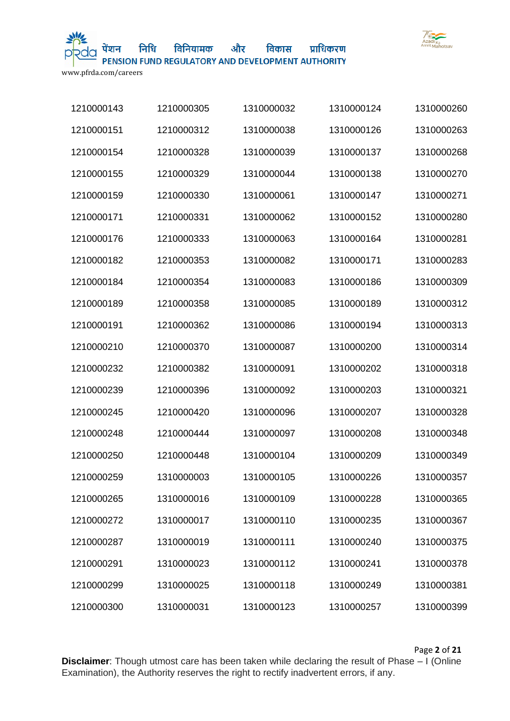

और विकास प्राधिकरण विनियामक PENSION FUND REGULATORY AND DEVELOPMENT AUTHORITY

www.pfrda.com/careers

| 1210000143 | 1210000305 | 1310000032 | 1310000124 | 1310000260 |
|------------|------------|------------|------------|------------|
| 1210000151 | 1210000312 | 1310000038 | 1310000126 | 1310000263 |
| 1210000154 | 1210000328 | 1310000039 | 1310000137 | 1310000268 |
| 1210000155 | 1210000329 | 1310000044 | 1310000138 | 1310000270 |
| 1210000159 | 1210000330 | 1310000061 | 1310000147 | 1310000271 |
| 1210000171 | 1210000331 | 1310000062 | 1310000152 | 1310000280 |
| 1210000176 | 1210000333 | 1310000063 | 1310000164 | 1310000281 |
| 1210000182 | 1210000353 | 1310000082 | 1310000171 | 1310000283 |
| 1210000184 | 1210000354 | 1310000083 | 1310000186 | 1310000309 |
| 1210000189 | 1210000358 | 1310000085 | 1310000189 | 1310000312 |
| 1210000191 | 1210000362 | 1310000086 | 1310000194 | 1310000313 |
| 1210000210 | 1210000370 | 1310000087 | 1310000200 | 1310000314 |
| 1210000232 | 1210000382 | 1310000091 | 1310000202 | 1310000318 |
| 1210000239 | 1210000396 | 1310000092 | 1310000203 | 1310000321 |
| 1210000245 | 1210000420 | 1310000096 | 1310000207 | 1310000328 |
| 1210000248 | 1210000444 | 1310000097 | 1310000208 | 1310000348 |
| 1210000250 | 1210000448 | 1310000104 | 1310000209 | 1310000349 |
| 1210000259 | 1310000003 | 1310000105 | 1310000226 | 1310000357 |
| 1210000265 | 1310000016 | 1310000109 | 1310000228 | 1310000365 |
| 1210000272 | 1310000017 | 1310000110 | 1310000235 | 1310000367 |
| 1210000287 | 1310000019 | 1310000111 | 1310000240 | 1310000375 |
| 1210000291 | 1310000023 | 1310000112 | 1310000241 | 1310000378 |
| 1210000299 | 1310000025 | 1310000118 | 1310000249 | 1310000381 |
| 1210000300 | 1310000031 | 1310000123 | 1310000257 | 1310000399 |

Page **2** of **21**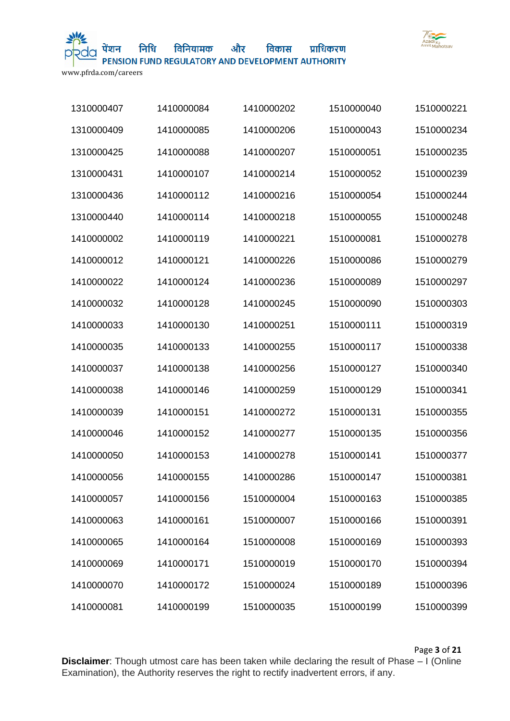

और विकास विनियामक

प्राधिकरण

PENSION FUND REGULATORY AND DEVELOPMENT AUTHORITY

www.pfrda.com/careers

| 1310000407 | 1410000084 | 1410000202 | 1510000040 | 1510000221 |
|------------|------------|------------|------------|------------|
| 1310000409 | 1410000085 | 1410000206 | 1510000043 | 1510000234 |
| 1310000425 | 1410000088 | 1410000207 | 1510000051 | 1510000235 |
| 1310000431 | 1410000107 | 1410000214 | 1510000052 | 1510000239 |
| 1310000436 | 1410000112 | 1410000216 | 1510000054 | 1510000244 |
| 1310000440 | 1410000114 | 1410000218 | 1510000055 | 1510000248 |
| 1410000002 | 1410000119 | 1410000221 | 1510000081 | 1510000278 |
| 1410000012 | 1410000121 | 1410000226 | 1510000086 | 1510000279 |
| 1410000022 | 1410000124 | 1410000236 | 1510000089 | 1510000297 |
| 1410000032 | 1410000128 | 1410000245 | 1510000090 | 1510000303 |
| 1410000033 | 1410000130 | 1410000251 | 1510000111 | 1510000319 |
| 1410000035 | 1410000133 | 1410000255 | 1510000117 | 1510000338 |
| 1410000037 | 1410000138 | 1410000256 | 1510000127 | 1510000340 |
| 1410000038 | 1410000146 | 1410000259 | 1510000129 | 1510000341 |
| 1410000039 | 1410000151 | 1410000272 | 1510000131 | 1510000355 |
| 1410000046 | 1410000152 | 1410000277 | 1510000135 | 1510000356 |
| 1410000050 | 1410000153 | 1410000278 | 1510000141 | 1510000377 |
| 1410000056 | 1410000155 | 1410000286 | 1510000147 | 1510000381 |
| 1410000057 | 1410000156 | 1510000004 | 1510000163 | 1510000385 |
| 1410000063 | 1410000161 | 1510000007 | 1510000166 | 1510000391 |
| 1410000065 | 1410000164 | 1510000008 | 1510000169 | 1510000393 |
| 1410000069 | 1410000171 | 1510000019 | 1510000170 | 1510000394 |
| 1410000070 | 1410000172 | 1510000024 | 1510000189 | 1510000396 |
| 1410000081 | 1410000199 | 1510000035 | 1510000199 | 1510000399 |

Page **3** of **21**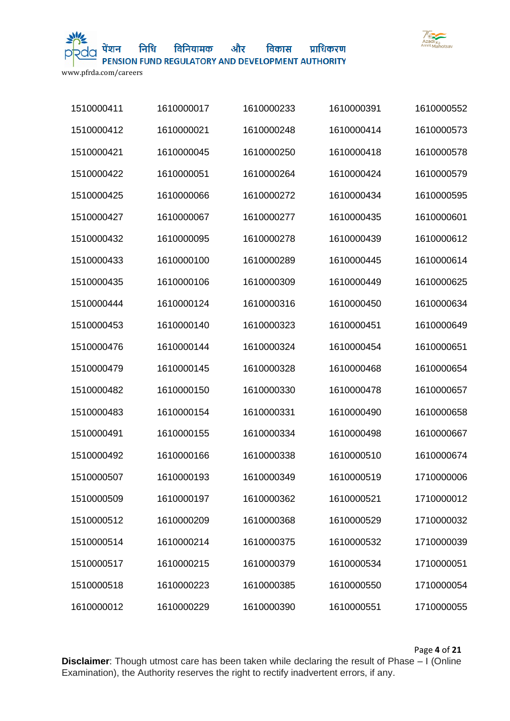

और विकास प्राधिकरण विनियामक PENSION FUND REGULATORY AND DEVELOPMENT AUTHORITY

www.pfrda.com/careers

| 1510000411 | 1610000017 | 1610000233 | 1610000391 | 1610000552 |
|------------|------------|------------|------------|------------|
| 1510000412 | 1610000021 | 1610000248 | 1610000414 | 1610000573 |
| 1510000421 | 1610000045 | 1610000250 | 1610000418 | 1610000578 |
| 1510000422 | 1610000051 | 1610000264 | 1610000424 | 1610000579 |
| 1510000425 | 1610000066 | 1610000272 | 1610000434 | 1610000595 |
| 1510000427 | 1610000067 | 1610000277 | 1610000435 | 1610000601 |
| 1510000432 | 1610000095 | 1610000278 | 1610000439 | 1610000612 |
| 1510000433 | 1610000100 | 1610000289 | 1610000445 | 1610000614 |
| 1510000435 | 1610000106 | 1610000309 | 1610000449 | 1610000625 |
| 1510000444 | 1610000124 | 1610000316 | 1610000450 | 1610000634 |
| 1510000453 | 1610000140 | 1610000323 | 1610000451 | 1610000649 |
| 1510000476 | 1610000144 | 1610000324 | 1610000454 | 1610000651 |
| 1510000479 | 1610000145 | 1610000328 | 1610000468 | 1610000654 |
| 1510000482 | 1610000150 | 1610000330 | 1610000478 | 1610000657 |
| 1510000483 | 1610000154 | 1610000331 | 1610000490 | 1610000658 |
| 1510000491 | 1610000155 | 1610000334 | 1610000498 | 1610000667 |
| 1510000492 | 1610000166 | 1610000338 | 1610000510 | 1610000674 |
| 1510000507 | 1610000193 | 1610000349 | 1610000519 | 1710000006 |
| 1510000509 | 1610000197 | 1610000362 | 1610000521 | 1710000012 |
| 1510000512 | 1610000209 | 1610000368 | 1610000529 | 1710000032 |
| 1510000514 | 1610000214 | 1610000375 | 1610000532 | 1710000039 |
| 1510000517 | 1610000215 | 1610000379 | 1610000534 | 1710000051 |
| 1510000518 | 1610000223 | 1610000385 | 1610000550 | 1710000054 |
| 1610000012 | 1610000229 | 1610000390 | 1610000551 | 1710000055 |

Page **4** of **21**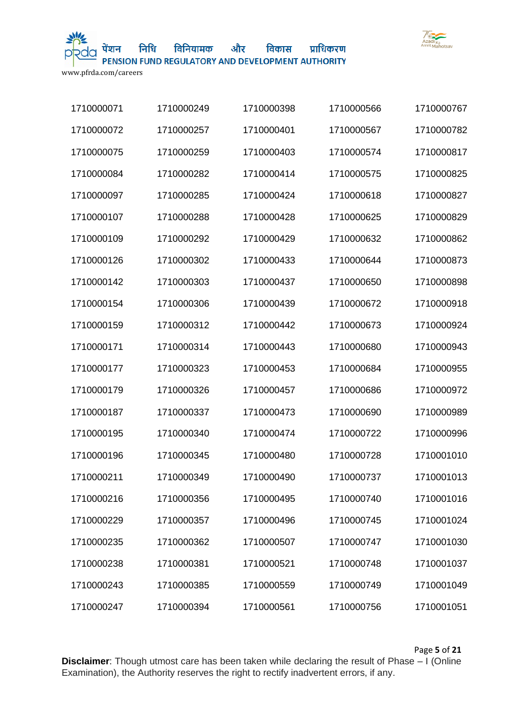

और विकास प्राधिकरण विनियामक

PENSION FUND REGULATORY AND DEVELOPMENT AUTHORITY

www.pfrda.com/careers

| 1710000071 | 1710000249 | 1710000398 | 1710000566 | 1710000767 |
|------------|------------|------------|------------|------------|
| 1710000072 | 1710000257 | 1710000401 | 1710000567 | 1710000782 |
| 1710000075 | 1710000259 | 1710000403 | 1710000574 | 1710000817 |
| 1710000084 | 1710000282 | 1710000414 | 1710000575 | 1710000825 |
| 1710000097 | 1710000285 | 1710000424 | 1710000618 | 1710000827 |
| 1710000107 | 1710000288 | 1710000428 | 1710000625 | 1710000829 |
| 1710000109 | 1710000292 | 1710000429 | 1710000632 | 1710000862 |
| 1710000126 | 1710000302 | 1710000433 | 1710000644 | 1710000873 |
| 1710000142 | 1710000303 | 1710000437 | 1710000650 | 1710000898 |
| 1710000154 | 1710000306 | 1710000439 | 1710000672 | 1710000918 |
| 1710000159 | 1710000312 | 1710000442 | 1710000673 | 1710000924 |
| 1710000171 | 1710000314 | 1710000443 | 1710000680 | 1710000943 |
| 1710000177 | 1710000323 | 1710000453 | 1710000684 | 1710000955 |
| 1710000179 | 1710000326 | 1710000457 | 1710000686 | 1710000972 |
| 1710000187 | 1710000337 | 1710000473 | 1710000690 | 1710000989 |
| 1710000195 | 1710000340 | 1710000474 | 1710000722 | 1710000996 |
| 1710000196 | 1710000345 | 1710000480 | 1710000728 | 1710001010 |
| 1710000211 | 1710000349 | 1710000490 | 1710000737 | 1710001013 |
| 1710000216 | 1710000356 | 1710000495 | 1710000740 | 1710001016 |
| 1710000229 | 1710000357 | 1710000496 | 1710000745 | 1710001024 |
| 1710000235 | 1710000362 | 1710000507 | 1710000747 | 1710001030 |
| 1710000238 | 1710000381 | 1710000521 | 1710000748 | 1710001037 |
| 1710000243 | 1710000385 | 1710000559 | 1710000749 | 1710001049 |
| 1710000247 | 1710000394 | 1710000561 | 1710000756 | 1710001051 |

Page **5** of **21**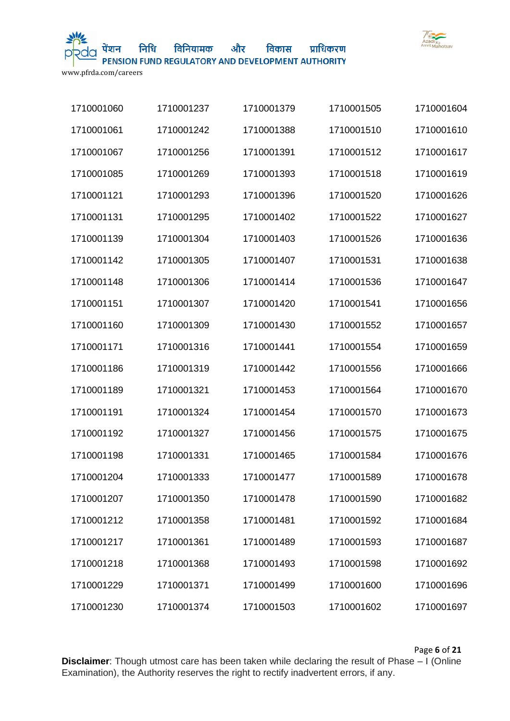

निधि

और विकास प्राधिकरण विनियामक PENSION FUND REGULATORY AND DEVELOPMENT AUTHORITY

www.pfrda.com/careers

| 1710001060 | 1710001237 | 1710001379 | 1710001505 | 1710001604 |
|------------|------------|------------|------------|------------|
| 1710001061 | 1710001242 | 1710001388 | 1710001510 | 1710001610 |
| 1710001067 | 1710001256 | 1710001391 | 1710001512 | 1710001617 |
| 1710001085 | 1710001269 | 1710001393 | 1710001518 | 1710001619 |
| 1710001121 | 1710001293 | 1710001396 | 1710001520 | 1710001626 |
| 1710001131 | 1710001295 | 1710001402 | 1710001522 | 1710001627 |
| 1710001139 | 1710001304 | 1710001403 | 1710001526 | 1710001636 |
| 1710001142 | 1710001305 | 1710001407 | 1710001531 | 1710001638 |
| 1710001148 | 1710001306 | 1710001414 | 1710001536 | 1710001647 |
| 1710001151 | 1710001307 | 1710001420 | 1710001541 | 1710001656 |
| 1710001160 | 1710001309 | 1710001430 | 1710001552 | 1710001657 |
| 1710001171 | 1710001316 | 1710001441 | 1710001554 | 1710001659 |
| 1710001186 | 1710001319 | 1710001442 | 1710001556 | 1710001666 |
| 1710001189 | 1710001321 | 1710001453 | 1710001564 | 1710001670 |
| 1710001191 | 1710001324 | 1710001454 | 1710001570 | 1710001673 |
| 1710001192 | 1710001327 | 1710001456 | 1710001575 | 1710001675 |
| 1710001198 | 1710001331 | 1710001465 | 1710001584 | 1710001676 |
| 1710001204 | 1710001333 | 1710001477 | 1710001589 | 1710001678 |
| 1710001207 | 1710001350 | 1710001478 | 1710001590 | 1710001682 |
| 1710001212 | 1710001358 | 1710001481 | 1710001592 | 1710001684 |
| 1710001217 | 1710001361 | 1710001489 | 1710001593 | 1710001687 |
| 1710001218 | 1710001368 | 1710001493 | 1710001598 | 1710001692 |
| 1710001229 | 1710001371 | 1710001499 | 1710001600 | 1710001696 |
| 1710001230 | 1710001374 | 1710001503 | 1710001602 | 1710001697 |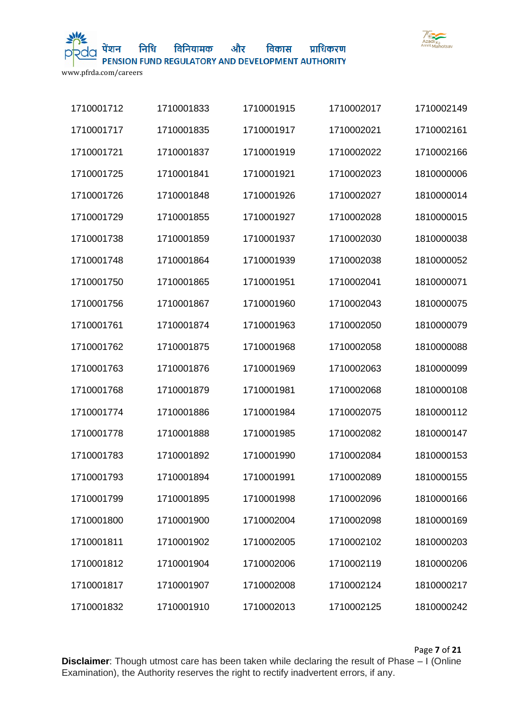

और विनियामक

PENSION FUND REGULATORY AND DEVELOPMENT AUTHORITY

विकास

प्राधिकरण

www.pfrda.com/careers

| 1710001712 | 1710001833 | 1710001915 | 1710002017 | 1710002149 |
|------------|------------|------------|------------|------------|
| 1710001717 | 1710001835 | 1710001917 | 1710002021 | 1710002161 |
| 1710001721 | 1710001837 | 1710001919 | 1710002022 | 1710002166 |
| 1710001725 | 1710001841 | 1710001921 | 1710002023 | 1810000006 |
| 1710001726 | 1710001848 | 1710001926 | 1710002027 | 1810000014 |
| 1710001729 | 1710001855 | 1710001927 | 1710002028 | 1810000015 |
| 1710001738 | 1710001859 | 1710001937 | 1710002030 | 1810000038 |
| 1710001748 | 1710001864 | 1710001939 | 1710002038 | 1810000052 |
| 1710001750 | 1710001865 | 1710001951 | 1710002041 | 1810000071 |
| 1710001756 | 1710001867 | 1710001960 | 1710002043 | 1810000075 |
| 1710001761 | 1710001874 | 1710001963 | 1710002050 | 1810000079 |
| 1710001762 | 1710001875 | 1710001968 | 1710002058 | 1810000088 |
| 1710001763 | 1710001876 | 1710001969 | 1710002063 | 1810000099 |
| 1710001768 | 1710001879 | 1710001981 | 1710002068 | 1810000108 |
| 1710001774 | 1710001886 | 1710001984 | 1710002075 | 1810000112 |
| 1710001778 | 1710001888 | 1710001985 | 1710002082 | 1810000147 |
| 1710001783 | 1710001892 | 1710001990 | 1710002084 | 1810000153 |
| 1710001793 | 1710001894 | 1710001991 | 1710002089 | 1810000155 |
| 1710001799 | 1710001895 | 1710001998 | 1710002096 | 1810000166 |
| 1710001800 | 1710001900 | 1710002004 | 1710002098 | 1810000169 |
| 1710001811 | 1710001902 | 1710002005 | 1710002102 | 1810000203 |
| 1710001812 | 1710001904 | 1710002006 | 1710002119 | 1810000206 |
| 1710001817 | 1710001907 | 1710002008 | 1710002124 | 1810000217 |
| 1710001832 | 1710001910 | 1710002013 | 1710002125 | 1810000242 |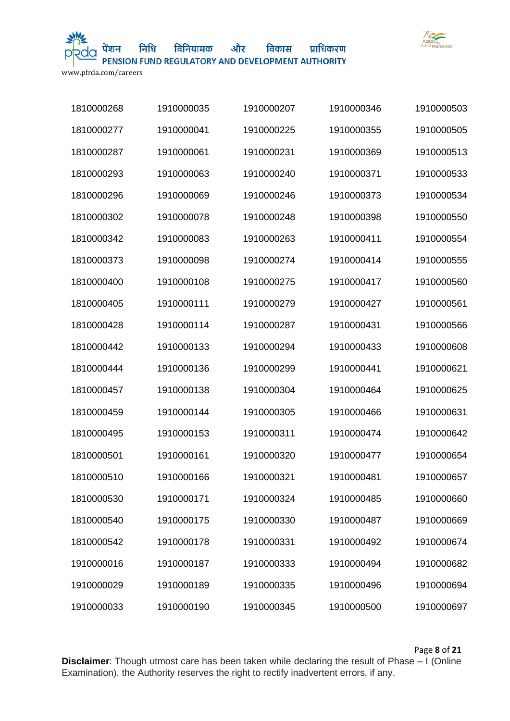

निधि

और विकास प्राधिकरण विनियामक

PENSION FUND REGULATORY AND DEVELOPMENT AUTHORITY

www.pfrda.com/careers

| 1810000268 | 1910000035 | 1910000207 | 1910000346 | 1910000503 |
|------------|------------|------------|------------|------------|
| 1810000277 | 1910000041 | 1910000225 | 1910000355 | 1910000505 |
| 1810000287 | 1910000061 | 1910000231 | 1910000369 | 1910000513 |
| 1810000293 | 1910000063 | 1910000240 | 1910000371 | 1910000533 |
| 1810000296 | 1910000069 | 1910000246 | 1910000373 | 1910000534 |
| 1810000302 | 1910000078 | 1910000248 | 1910000398 | 1910000550 |
| 1810000342 | 1910000083 | 1910000263 | 1910000411 | 1910000554 |
| 1810000373 | 1910000098 | 1910000274 | 1910000414 | 1910000555 |
| 1810000400 | 1910000108 | 1910000275 | 1910000417 | 1910000560 |
| 1810000405 | 1910000111 | 1910000279 | 1910000427 | 1910000561 |
| 1810000428 | 1910000114 | 1910000287 | 1910000431 | 1910000566 |
| 1810000442 | 1910000133 | 1910000294 | 1910000433 | 1910000608 |
| 1810000444 | 1910000136 | 1910000299 | 1910000441 | 1910000621 |
| 1810000457 | 1910000138 | 1910000304 | 1910000464 | 1910000625 |
| 1810000459 | 1910000144 | 1910000305 | 1910000466 | 1910000631 |
| 1810000495 | 1910000153 | 1910000311 | 1910000474 | 1910000642 |
| 1810000501 | 1910000161 | 1910000320 | 1910000477 | 1910000654 |
| 1810000510 | 1910000166 | 1910000321 | 1910000481 | 1910000657 |
| 1810000530 | 1910000171 | 1910000324 | 1910000485 | 1910000660 |
| 1810000540 | 1910000175 | 1910000330 | 1910000487 | 1910000669 |
| 1810000542 | 1910000178 | 1910000331 | 1910000492 | 1910000674 |
| 1910000016 | 1910000187 | 1910000333 | 1910000494 | 1910000682 |
| 1910000029 | 1910000189 | 1910000335 | 1910000496 | 1910000694 |
| 1910000033 | 1910000190 | 1910000345 | 1910000500 | 1910000697 |

Page **8** of **21**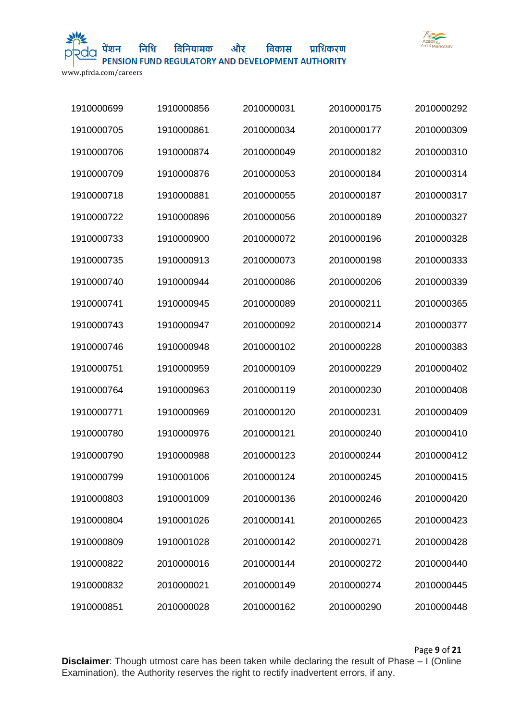

और विकास प्राधिकरण विनियामक

PENSION FUND REGULATORY AND DEVELOPMENT AUTHORITY

www.pfrda.com/careers

| 1910000699 | 1910000856 | 2010000031 | 2010000175 | 2010000292 |
|------------|------------|------------|------------|------------|
| 1910000705 | 1910000861 | 2010000034 | 2010000177 | 2010000309 |
| 1910000706 | 1910000874 | 2010000049 | 2010000182 | 2010000310 |
| 1910000709 | 1910000876 | 2010000053 | 2010000184 | 2010000314 |
| 1910000718 | 1910000881 | 2010000055 | 2010000187 | 2010000317 |
| 1910000722 | 1910000896 | 2010000056 | 2010000189 | 2010000327 |
| 1910000733 | 1910000900 | 2010000072 | 2010000196 | 2010000328 |
| 1910000735 | 1910000913 | 2010000073 | 2010000198 | 2010000333 |
| 1910000740 | 1910000944 | 2010000086 | 2010000206 | 2010000339 |
| 1910000741 | 1910000945 | 2010000089 | 2010000211 | 2010000365 |
| 1910000743 | 1910000947 | 2010000092 | 2010000214 | 2010000377 |
| 1910000746 | 1910000948 | 2010000102 | 2010000228 | 2010000383 |
| 1910000751 | 1910000959 | 2010000109 | 2010000229 | 2010000402 |
| 1910000764 | 1910000963 | 2010000119 | 2010000230 | 2010000408 |
| 1910000771 | 1910000969 | 2010000120 | 2010000231 | 2010000409 |
| 1910000780 | 1910000976 | 2010000121 | 2010000240 | 2010000410 |
| 1910000790 | 1910000988 | 2010000123 | 2010000244 | 2010000412 |
| 1910000799 | 1910001006 | 2010000124 | 2010000245 | 2010000415 |
| 1910000803 | 1910001009 | 2010000136 | 2010000246 | 2010000420 |
| 1910000804 | 1910001026 | 2010000141 | 2010000265 | 2010000423 |
| 1910000809 | 1910001028 | 2010000142 | 2010000271 | 2010000428 |
| 1910000822 | 2010000016 | 2010000144 | 2010000272 | 2010000440 |
| 1910000832 | 2010000021 | 2010000149 | 2010000274 | 2010000445 |
| 1910000851 | 2010000028 | 2010000162 | 2010000290 | 2010000448 |

Page **9** of **21**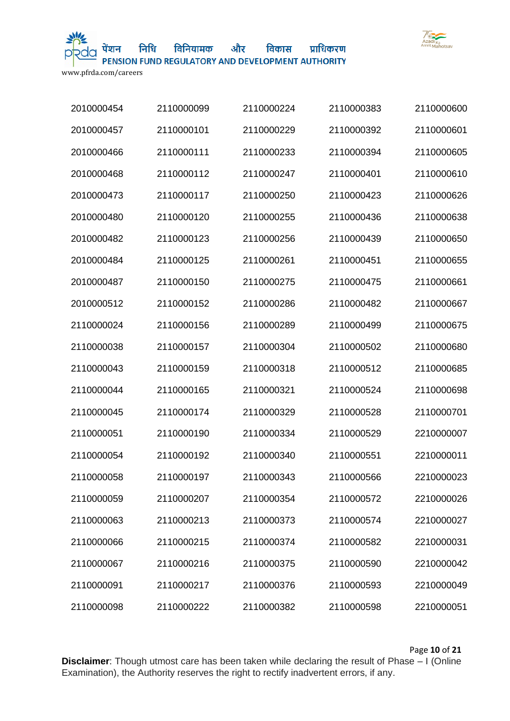

और विकास विनियामक

प्राधिकरण

PENSION FUND REGULATORY AND DEVELOPMENT AUTHORITY

www.pfrda.com/careers

| 2010000454 | 2110000099 | 2110000224 | 2110000383 | 2110000600 |
|------------|------------|------------|------------|------------|
| 2010000457 | 2110000101 | 2110000229 | 2110000392 | 2110000601 |
| 2010000466 | 2110000111 | 2110000233 | 2110000394 | 2110000605 |
| 2010000468 | 2110000112 | 2110000247 | 2110000401 | 2110000610 |
| 2010000473 | 2110000117 | 2110000250 | 2110000423 | 2110000626 |
| 2010000480 | 2110000120 | 2110000255 | 2110000436 | 2110000638 |
| 2010000482 | 2110000123 | 2110000256 | 2110000439 | 2110000650 |
| 2010000484 | 2110000125 | 2110000261 | 2110000451 | 2110000655 |
| 2010000487 | 2110000150 | 2110000275 | 2110000475 | 2110000661 |
| 2010000512 | 2110000152 | 2110000286 | 2110000482 | 2110000667 |
| 2110000024 | 2110000156 | 2110000289 | 2110000499 | 2110000675 |
| 2110000038 | 2110000157 | 2110000304 | 2110000502 | 2110000680 |
| 2110000043 | 2110000159 | 2110000318 | 2110000512 | 2110000685 |
| 2110000044 | 2110000165 | 2110000321 | 2110000524 | 2110000698 |
| 2110000045 | 2110000174 | 2110000329 | 2110000528 | 2110000701 |
| 2110000051 | 2110000190 | 2110000334 | 2110000529 | 2210000007 |
| 2110000054 | 2110000192 | 2110000340 | 2110000551 | 2210000011 |
| 2110000058 | 2110000197 | 2110000343 | 2110000566 | 2210000023 |
| 2110000059 | 2110000207 | 2110000354 | 2110000572 | 2210000026 |
| 2110000063 | 2110000213 | 2110000373 | 2110000574 | 2210000027 |
| 2110000066 | 2110000215 | 2110000374 | 2110000582 | 2210000031 |
| 2110000067 | 2110000216 | 2110000375 | 2110000590 | 2210000042 |
| 2110000091 | 2110000217 | 2110000376 | 2110000593 | 2210000049 |
| 2110000098 | 2110000222 | 2110000382 | 2110000598 | 2210000051 |

Page **10** of **21**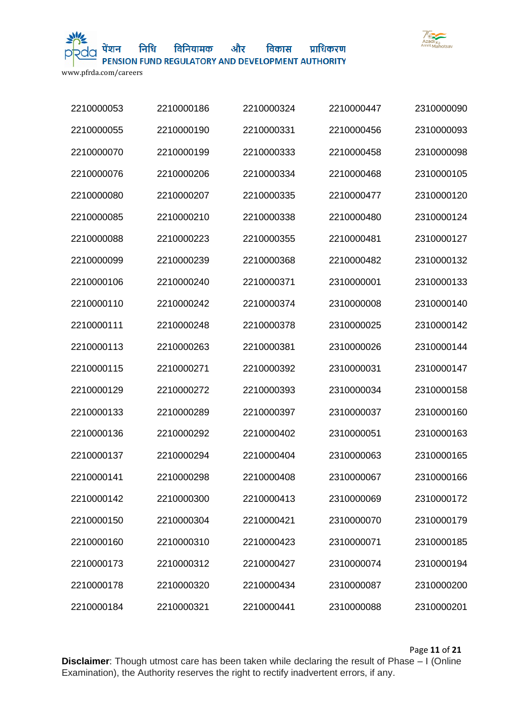

निधि विनियामक

और विकास प्राधिकरण

PENSION FUND REGULATORY AND DEVELOPMENT AUTHORITY

www.pfrda.com/careers

| 2210000053 | 2210000186 | 2210000324 | 2210000447 | 2310000090 |
|------------|------------|------------|------------|------------|
| 2210000055 | 2210000190 | 2210000331 | 2210000456 | 2310000093 |
| 2210000070 | 2210000199 | 2210000333 | 2210000458 | 2310000098 |
| 2210000076 | 2210000206 | 2210000334 | 2210000468 | 2310000105 |
| 2210000080 | 2210000207 | 2210000335 | 2210000477 | 2310000120 |
| 2210000085 | 2210000210 | 2210000338 | 2210000480 | 2310000124 |
| 2210000088 | 2210000223 | 2210000355 | 2210000481 | 2310000127 |
| 2210000099 | 2210000239 | 2210000368 | 2210000482 | 2310000132 |
| 2210000106 | 2210000240 | 2210000371 | 2310000001 | 2310000133 |
| 2210000110 | 2210000242 | 2210000374 | 2310000008 | 2310000140 |
| 2210000111 | 2210000248 | 2210000378 | 2310000025 | 2310000142 |
| 2210000113 | 2210000263 | 2210000381 | 2310000026 | 2310000144 |
| 2210000115 | 2210000271 | 2210000392 | 2310000031 | 2310000147 |
| 2210000129 | 2210000272 | 2210000393 | 2310000034 | 2310000158 |
| 2210000133 | 2210000289 | 2210000397 | 2310000037 | 2310000160 |
| 2210000136 | 2210000292 | 2210000402 | 2310000051 | 2310000163 |
| 2210000137 | 2210000294 | 2210000404 | 2310000063 | 2310000165 |
| 2210000141 | 2210000298 | 2210000408 | 2310000067 | 2310000166 |
| 2210000142 | 2210000300 | 2210000413 | 2310000069 | 2310000172 |
| 2210000150 | 2210000304 | 2210000421 | 2310000070 | 2310000179 |
| 2210000160 | 2210000310 | 2210000423 | 2310000071 | 2310000185 |
| 2210000173 | 2210000312 | 2210000427 | 2310000074 | 2310000194 |
| 2210000178 | 2210000320 | 2210000434 | 2310000087 | 2310000200 |
| 2210000184 | 2210000321 | 2210000441 | 2310000088 | 2310000201 |

Page **11** of **21**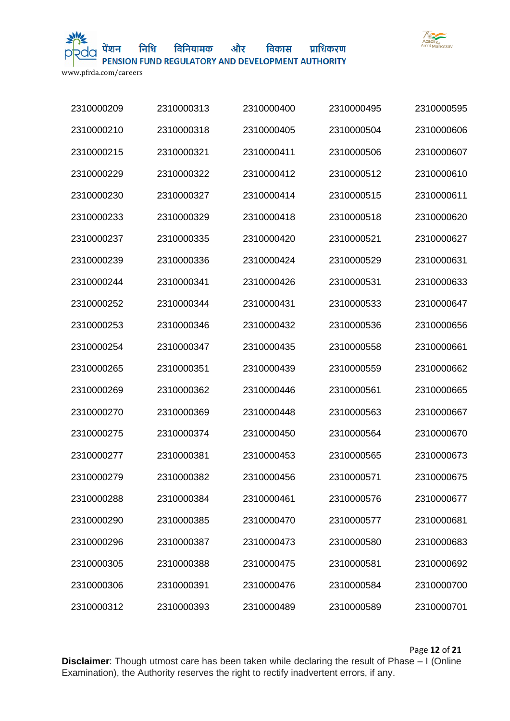

निधि विनियामक

और विकास प्राधिकरण PENSION FUND REGULATORY AND DEVELOPMENT AUTHORITY

www.pfrda.com/careers

| 2310000209 | 2310000313 | 2310000400 | 2310000495 | 2310000595 |
|------------|------------|------------|------------|------------|
| 2310000210 | 2310000318 | 2310000405 | 2310000504 | 2310000606 |
| 2310000215 | 2310000321 | 2310000411 | 2310000506 | 2310000607 |
| 2310000229 | 2310000322 | 2310000412 | 2310000512 | 2310000610 |
| 2310000230 | 2310000327 | 2310000414 | 2310000515 | 2310000611 |
| 2310000233 | 2310000329 | 2310000418 | 2310000518 | 2310000620 |
| 2310000237 | 2310000335 | 2310000420 | 2310000521 | 2310000627 |
| 2310000239 | 2310000336 | 2310000424 | 2310000529 | 2310000631 |
| 2310000244 | 2310000341 | 2310000426 | 2310000531 | 2310000633 |
| 2310000252 | 2310000344 | 2310000431 | 2310000533 | 2310000647 |
| 2310000253 | 2310000346 | 2310000432 | 2310000536 | 2310000656 |
| 2310000254 | 2310000347 | 2310000435 | 2310000558 | 2310000661 |
| 2310000265 | 2310000351 | 2310000439 | 2310000559 | 2310000662 |
| 2310000269 | 2310000362 | 2310000446 | 2310000561 | 2310000665 |
| 2310000270 | 2310000369 | 2310000448 | 2310000563 | 2310000667 |
| 2310000275 | 2310000374 | 2310000450 | 2310000564 | 2310000670 |
| 2310000277 | 2310000381 | 2310000453 | 2310000565 | 2310000673 |
| 2310000279 | 2310000382 | 2310000456 | 2310000571 | 2310000675 |
| 2310000288 | 2310000384 | 2310000461 | 2310000576 | 2310000677 |
| 2310000290 | 2310000385 | 2310000470 | 2310000577 | 2310000681 |
| 2310000296 | 2310000387 | 2310000473 | 2310000580 | 2310000683 |
| 2310000305 | 2310000388 | 2310000475 | 2310000581 | 2310000692 |
| 2310000306 | 2310000391 | 2310000476 | 2310000584 | 2310000700 |
| 2310000312 | 2310000393 | 2310000489 | 2310000589 | 2310000701 |

Page **12** of **21**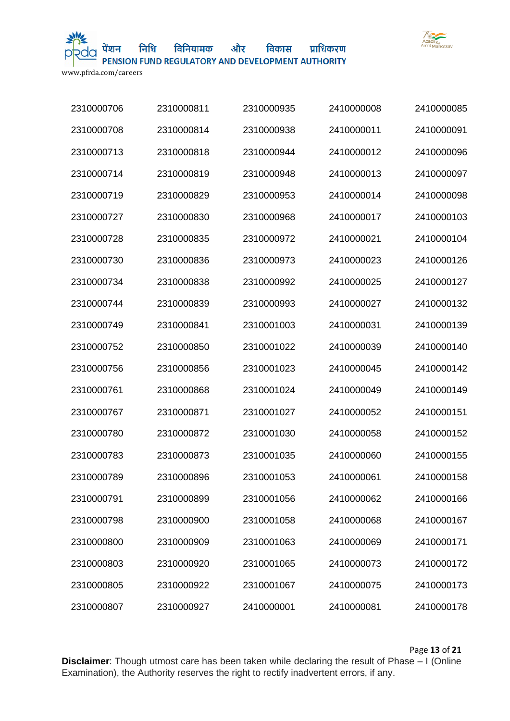

और विकास विनियामक

प्राधिकरण

PENSION FUND REGULATORY AND DEVELOPMENT AUTHORITY

www.pfrda.com/careers

| 2310000706 | 2310000811 | 2310000935 | 2410000008 | 2410000085 |
|------------|------------|------------|------------|------------|
| 2310000708 | 2310000814 | 2310000938 | 2410000011 | 2410000091 |
| 2310000713 | 2310000818 | 2310000944 | 2410000012 | 2410000096 |
| 2310000714 | 2310000819 | 2310000948 | 2410000013 | 2410000097 |
| 2310000719 | 2310000829 | 2310000953 | 2410000014 | 2410000098 |
| 2310000727 | 2310000830 | 2310000968 | 2410000017 | 2410000103 |
| 2310000728 | 2310000835 | 2310000972 | 2410000021 | 2410000104 |
| 2310000730 | 2310000836 | 2310000973 | 2410000023 | 2410000126 |
| 2310000734 | 2310000838 | 2310000992 | 2410000025 | 2410000127 |
| 2310000744 | 2310000839 | 2310000993 | 2410000027 | 2410000132 |
| 2310000749 | 2310000841 | 2310001003 | 2410000031 | 2410000139 |
| 2310000752 | 2310000850 | 2310001022 | 2410000039 | 2410000140 |
| 2310000756 | 2310000856 | 2310001023 | 2410000045 | 2410000142 |
| 2310000761 | 2310000868 | 2310001024 | 2410000049 | 2410000149 |
| 2310000767 | 2310000871 | 2310001027 | 2410000052 | 2410000151 |
| 2310000780 | 2310000872 | 2310001030 | 2410000058 | 2410000152 |
| 2310000783 | 2310000873 | 2310001035 | 2410000060 | 2410000155 |
| 2310000789 | 2310000896 | 2310001053 | 2410000061 | 2410000158 |
| 2310000791 | 2310000899 | 2310001056 | 2410000062 | 2410000166 |
| 2310000798 | 2310000900 | 2310001058 | 2410000068 | 2410000167 |
| 2310000800 | 2310000909 | 2310001063 | 2410000069 | 2410000171 |
| 2310000803 | 2310000920 | 2310001065 | 2410000073 | 2410000172 |
| 2310000805 | 2310000922 | 2310001067 | 2410000075 | 2410000173 |
| 2310000807 | 2310000927 | 2410000001 | 2410000081 | 2410000178 |

Page **13** of **21**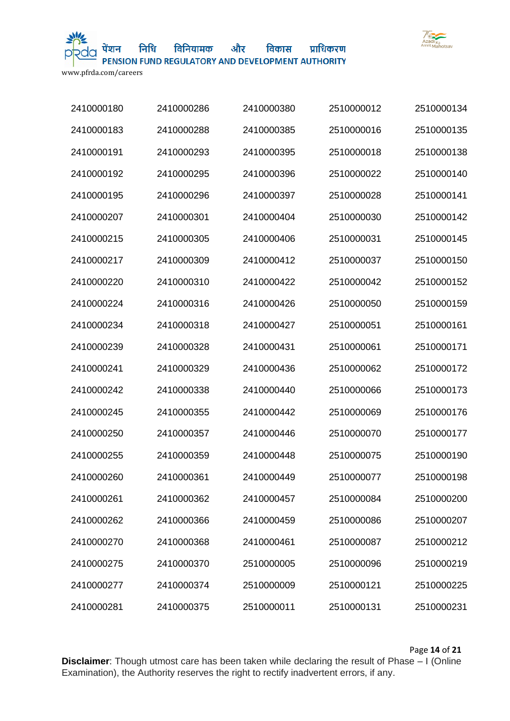

और विनियामक

PENSION FUND REGULATORY AND DEVELOPMENT AUTHORITY

विकास

प्राधिकरण

www.pfrda.com/careers

| 2410000180 | 2410000286 | 2410000380 | 2510000012 | 2510000134 |
|------------|------------|------------|------------|------------|
| 2410000183 | 2410000288 | 2410000385 | 2510000016 | 2510000135 |
| 2410000191 | 2410000293 | 2410000395 | 2510000018 | 2510000138 |
| 2410000192 | 2410000295 | 2410000396 | 2510000022 | 2510000140 |
| 2410000195 | 2410000296 | 2410000397 | 2510000028 | 2510000141 |
| 2410000207 | 2410000301 | 2410000404 | 2510000030 | 2510000142 |
| 2410000215 | 2410000305 | 2410000406 | 2510000031 | 2510000145 |
| 2410000217 | 2410000309 | 2410000412 | 2510000037 | 2510000150 |
| 2410000220 | 2410000310 | 2410000422 | 2510000042 | 2510000152 |
| 2410000224 | 2410000316 | 2410000426 | 2510000050 | 2510000159 |
| 2410000234 | 2410000318 | 2410000427 | 2510000051 | 2510000161 |
| 2410000239 | 2410000328 | 2410000431 | 2510000061 | 2510000171 |
| 2410000241 | 2410000329 | 2410000436 | 2510000062 | 2510000172 |
| 2410000242 | 2410000338 | 2410000440 | 2510000066 | 2510000173 |
| 2410000245 | 2410000355 | 2410000442 | 2510000069 | 2510000176 |
| 2410000250 | 2410000357 | 2410000446 | 2510000070 | 2510000177 |
| 2410000255 | 2410000359 | 2410000448 | 2510000075 | 2510000190 |
| 2410000260 | 2410000361 | 2410000449 | 2510000077 | 2510000198 |
| 2410000261 | 2410000362 | 2410000457 | 2510000084 | 2510000200 |
| 2410000262 | 2410000366 | 2410000459 | 2510000086 | 2510000207 |
| 2410000270 | 2410000368 | 2410000461 | 2510000087 | 2510000212 |
| 2410000275 | 2410000370 | 2510000005 | 2510000096 | 2510000219 |
| 2410000277 | 2410000374 | 2510000009 | 2510000121 | 2510000225 |
| 2410000281 | 2410000375 | 2510000011 | 2510000131 | 2510000231 |

Page **14** of **21**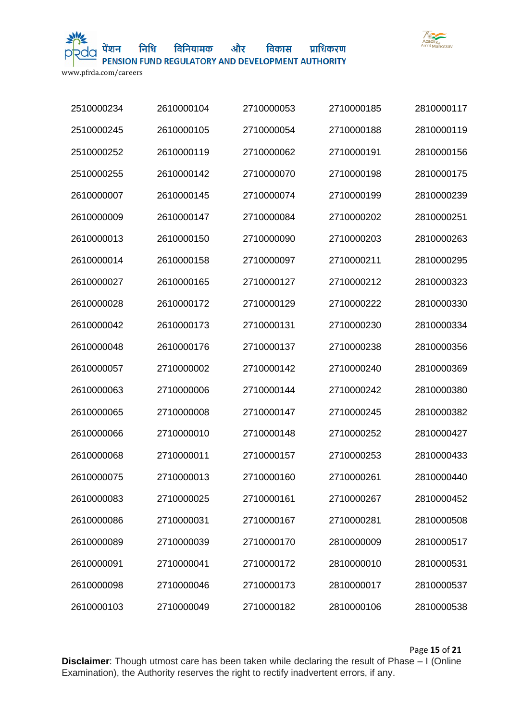

निधि विनियामक

और विकास प्राधिकरण

PENSION FUND REGULATORY AND DEVELOPMENT AUTHORITY

www.pfrda.com/careers

| 2510000234 | 2610000104 | 2710000053 | 2710000185 | 2810000117 |
|------------|------------|------------|------------|------------|
| 2510000245 | 2610000105 | 2710000054 | 2710000188 | 2810000119 |
| 2510000252 | 2610000119 | 2710000062 | 2710000191 | 2810000156 |
| 2510000255 | 2610000142 | 2710000070 | 2710000198 | 2810000175 |
| 2610000007 | 2610000145 | 2710000074 | 2710000199 | 2810000239 |
| 2610000009 | 2610000147 | 2710000084 | 2710000202 | 2810000251 |
| 2610000013 | 2610000150 | 2710000090 | 2710000203 | 2810000263 |
| 2610000014 | 2610000158 | 2710000097 | 2710000211 | 2810000295 |
| 2610000027 | 2610000165 | 2710000127 | 2710000212 | 2810000323 |
| 2610000028 | 2610000172 | 2710000129 | 2710000222 | 2810000330 |
| 2610000042 | 2610000173 | 2710000131 | 2710000230 | 2810000334 |
| 2610000048 | 2610000176 | 2710000137 | 2710000238 | 2810000356 |
| 2610000057 | 2710000002 | 2710000142 | 2710000240 | 2810000369 |
| 2610000063 | 2710000006 | 2710000144 | 2710000242 | 2810000380 |
| 2610000065 | 2710000008 | 2710000147 | 2710000245 | 2810000382 |
| 2610000066 | 2710000010 | 2710000148 | 2710000252 | 2810000427 |
| 2610000068 | 2710000011 | 2710000157 | 2710000253 | 2810000433 |
| 2610000075 | 2710000013 | 2710000160 | 2710000261 | 2810000440 |
| 2610000083 | 2710000025 | 2710000161 | 2710000267 | 2810000452 |
| 2610000086 | 2710000031 | 2710000167 | 2710000281 | 2810000508 |
| 2610000089 | 2710000039 | 2710000170 | 2810000009 | 2810000517 |
| 2610000091 | 2710000041 | 2710000172 | 2810000010 | 2810000531 |
| 2610000098 | 2710000046 | 2710000173 | 2810000017 | 2810000537 |
| 2610000103 | 2710000049 | 2710000182 | 2810000106 | 2810000538 |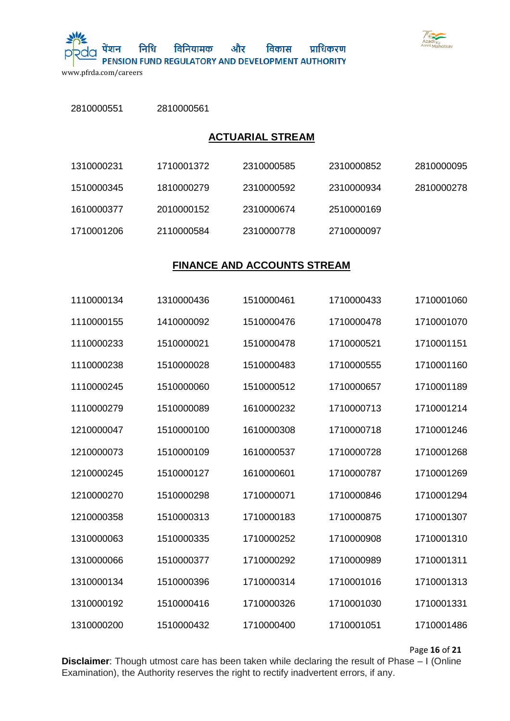

और निधि विनियामक

PENSION FUND REGULATORY AND DEVELOPMENT AUTHORITY

विकास

प्राधिकरण

www.pfrda.com/careers

पेंशन

2810000561

| <b>ACTUARIAL STREAM</b> |            |                                    |            |            |  |
|-------------------------|------------|------------------------------------|------------|------------|--|
| 1310000231              | 1710001372 | 2310000585                         | 2310000852 | 2810000095 |  |
| 1510000345              | 1810000279 | 2310000592                         | 2310000934 | 2810000278 |  |
| 1610000377              | 2010000152 | 2310000674                         | 2510000169 |            |  |
| 1710001206              | 2110000584 | 2310000778                         | 2710000097 |            |  |
|                         |            |                                    |            |            |  |
|                         |            | <b>FINANCE AND ACCOUNTS STREAM</b> |            |            |  |
| 1110000134              | 1310000436 | 1510000461                         | 1710000433 | 1710001060 |  |
| 1110000155              | 1410000092 | 1510000476                         | 1710000478 | 1710001070 |  |
| 1110000233              | 1510000021 | 1510000478                         | 1710000521 | 1710001151 |  |
| 1110000238              | 1510000028 | 1510000483                         | 1710000555 | 1710001160 |  |
| 1110000245              | 1510000060 | 1510000512                         | 1710000657 | 1710001189 |  |
| 1110000279              | 1510000089 | 1610000232                         | 1710000713 | 1710001214 |  |
| 1210000047              | 1510000100 | 1610000308                         | 1710000718 | 1710001246 |  |
| 1210000073              | 1510000109 | 1610000537                         | 1710000728 | 1710001268 |  |
| 1210000245              | 1510000127 | 1610000601                         | 1710000787 | 1710001269 |  |
| 1210000270              | 1510000298 | 1710000071                         | 1710000846 | 1710001294 |  |
| 1210000358              | 1510000313 | 1710000183                         | 1710000875 | 1710001307 |  |
| 1310000063              | 1510000335 | 1710000252                         | 1710000908 | 1710001310 |  |
| 1310000066              | 1510000377 | 1710000292                         | 1710000989 | 1710001311 |  |
| 1310000134              | 1510000396 | 1710000314                         | 1710001016 | 1710001313 |  |
| 1310000192              | 1510000416 | 1710000326                         | 1710001030 | 1710001331 |  |
| 1310000200              | 1510000432 | 1710000400                         | 1710001051 | 1710001486 |  |

Page **16** of **21**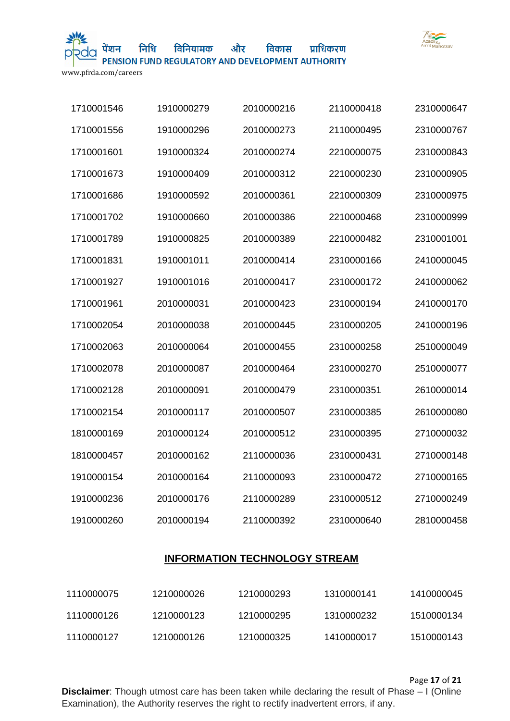

विनियामक

और PENSION FUND REGULATORY AND DEVELOPMENT AUTHORITY

विकास

प्राधिकरण

www.pfrda.com/careers

| 1710001546 | 1910000279 | 2010000216 | 2110000418 | 2310000647 |
|------------|------------|------------|------------|------------|
| 1710001556 | 1910000296 | 2010000273 | 2110000495 | 2310000767 |
| 1710001601 | 1910000324 | 2010000274 | 2210000075 | 2310000843 |
| 1710001673 | 1910000409 | 2010000312 | 2210000230 | 2310000905 |
| 1710001686 | 1910000592 | 2010000361 | 2210000309 | 2310000975 |
| 1710001702 | 1910000660 | 2010000386 | 2210000468 | 2310000999 |
| 1710001789 | 1910000825 | 2010000389 | 2210000482 | 2310001001 |
| 1710001831 | 1910001011 | 2010000414 | 2310000166 | 2410000045 |
| 1710001927 | 1910001016 | 2010000417 | 2310000172 | 2410000062 |
| 1710001961 | 2010000031 | 2010000423 | 2310000194 | 2410000170 |
| 1710002054 | 2010000038 | 2010000445 | 2310000205 | 2410000196 |
| 1710002063 | 2010000064 | 2010000455 | 2310000258 | 2510000049 |
| 1710002078 | 2010000087 | 2010000464 | 2310000270 | 2510000077 |
| 1710002128 | 2010000091 | 2010000479 | 2310000351 | 2610000014 |
| 1710002154 | 2010000117 | 2010000507 | 2310000385 | 2610000080 |
| 1810000169 | 2010000124 | 2010000512 | 2310000395 | 2710000032 |
| 1810000457 | 2010000162 | 2110000036 | 2310000431 | 2710000148 |
| 1910000154 | 2010000164 | 2110000093 | 2310000472 | 2710000165 |
| 1910000236 | 2010000176 | 2110000289 | 2310000512 | 2710000249 |
| 1910000260 | 2010000194 | 2110000392 | 2310000640 | 2810000458 |

## **INFORMATION TECHNOLOGY STREAM**

| 1110000075 | 1210000026 | 1210000293 | 1310000141 | 1410000045 |
|------------|------------|------------|------------|------------|
| 1110000126 | 1210000123 | 1210000295 | 1310000232 | 1510000134 |
| 1110000127 | 1210000126 | 1210000325 | 1410000017 | 1510000143 |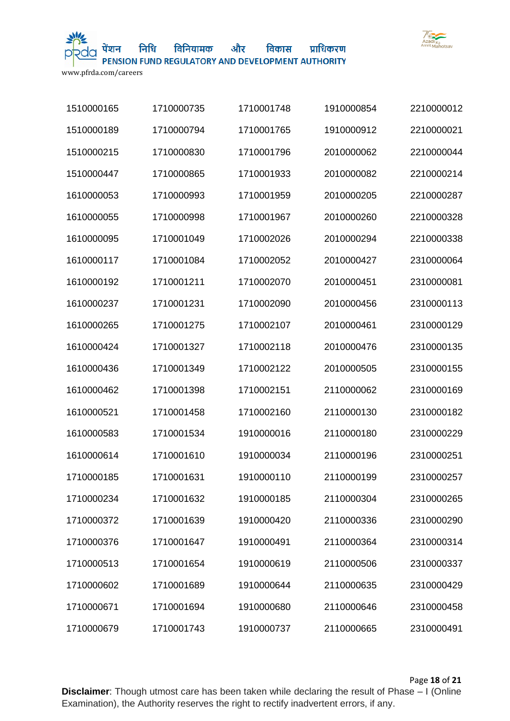

और विकास विनियामक प्राधिकरण

PENSION FUND REGULATORY AND DEVELOPMENT AUTHORITY

www.pfrda.com/careers

| 1510000165 | 1710000735 | 1710001748 | 1910000854 | 2210000012 |
|------------|------------|------------|------------|------------|
| 1510000189 | 1710000794 | 1710001765 | 1910000912 | 2210000021 |
| 1510000215 | 1710000830 | 1710001796 | 2010000062 | 2210000044 |
| 1510000447 | 1710000865 | 1710001933 | 2010000082 | 2210000214 |
| 1610000053 | 1710000993 | 1710001959 | 2010000205 | 2210000287 |
| 1610000055 | 1710000998 | 1710001967 | 2010000260 | 2210000328 |
| 1610000095 | 1710001049 | 1710002026 | 2010000294 | 2210000338 |
| 1610000117 | 1710001084 | 1710002052 | 2010000427 | 2310000064 |
| 1610000192 | 1710001211 | 1710002070 | 2010000451 | 2310000081 |
| 1610000237 | 1710001231 | 1710002090 | 2010000456 | 2310000113 |
| 1610000265 | 1710001275 | 1710002107 | 2010000461 | 2310000129 |
| 1610000424 | 1710001327 | 1710002118 | 2010000476 | 2310000135 |
| 1610000436 | 1710001349 | 1710002122 | 2010000505 | 2310000155 |
| 1610000462 | 1710001398 | 1710002151 | 2110000062 | 2310000169 |
| 1610000521 | 1710001458 | 1710002160 | 2110000130 | 2310000182 |
| 1610000583 | 1710001534 | 1910000016 | 2110000180 | 2310000229 |
| 1610000614 | 1710001610 | 1910000034 | 2110000196 | 2310000251 |
| 1710000185 | 1710001631 | 1910000110 | 2110000199 | 2310000257 |
| 1710000234 | 1710001632 | 1910000185 | 2110000304 | 2310000265 |
| 1710000372 | 1710001639 | 1910000420 | 2110000336 | 2310000290 |
| 1710000376 | 1710001647 | 1910000491 | 2110000364 | 2310000314 |
| 1710000513 | 1710001654 | 1910000619 | 2110000506 | 2310000337 |
| 1710000602 | 1710001689 | 1910000644 | 2110000635 | 2310000429 |
| 1710000671 | 1710001694 | 1910000680 | 2110000646 | 2310000458 |
| 1710000679 | 1710001743 | 1910000737 | 2110000665 | 2310000491 |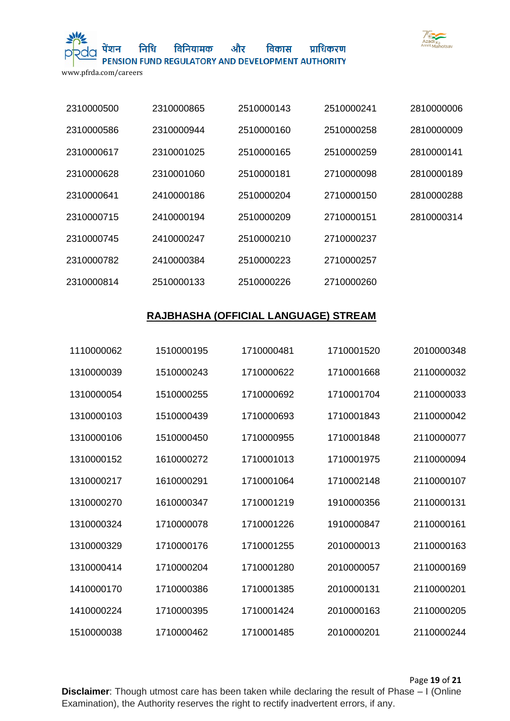

और विनियामक विकास प्राधिकरण

PENSION FUND REGULATORY AND DEVELOPMENT AUTHORITY

www.pfrda.com/careers

| 2310000500 | 2310000865 | 2510000143 | 2510000241 | 2810000006 |
|------------|------------|------------|------------|------------|
| 2310000586 | 2310000944 | 2510000160 | 2510000258 | 2810000009 |
| 2310000617 | 2310001025 | 2510000165 | 2510000259 | 2810000141 |
| 2310000628 | 2310001060 | 2510000181 | 2710000098 | 2810000189 |
| 2310000641 | 2410000186 | 2510000204 | 2710000150 | 2810000288 |
| 2310000715 | 2410000194 | 2510000209 | 2710000151 | 2810000314 |
| 2310000745 | 2410000247 | 2510000210 | 2710000237 |            |
| 2310000782 | 2410000384 | 2510000223 | 2710000257 |            |
| 2310000814 | 2510000133 | 2510000226 | 2710000260 |            |

# **RAJBHASHA (OFFICIAL LANGUAGE) STREAM**

| 1110000062 | 1510000195 | 1710000481 | 1710001520 | 2010000348 |
|------------|------------|------------|------------|------------|
| 1310000039 | 1510000243 | 1710000622 | 1710001668 | 2110000032 |
| 1310000054 | 1510000255 | 1710000692 | 1710001704 | 2110000033 |
| 1310000103 | 1510000439 | 1710000693 | 1710001843 | 2110000042 |
| 1310000106 | 1510000450 | 1710000955 | 1710001848 | 2110000077 |
| 1310000152 | 1610000272 | 1710001013 | 1710001975 | 2110000094 |
| 1310000217 | 1610000291 | 1710001064 | 1710002148 | 2110000107 |
| 1310000270 | 1610000347 | 1710001219 | 1910000356 | 2110000131 |
| 1310000324 | 1710000078 | 1710001226 | 1910000847 | 2110000161 |
| 1310000329 | 1710000176 | 1710001255 | 2010000013 | 2110000163 |
| 1310000414 | 1710000204 | 1710001280 | 2010000057 | 2110000169 |
| 1410000170 | 1710000386 | 1710001385 | 2010000131 | 2110000201 |
| 1410000224 | 1710000395 | 1710001424 | 2010000163 | 2110000205 |
| 1510000038 | 1710000462 | 1710001485 | 2010000201 | 2110000244 |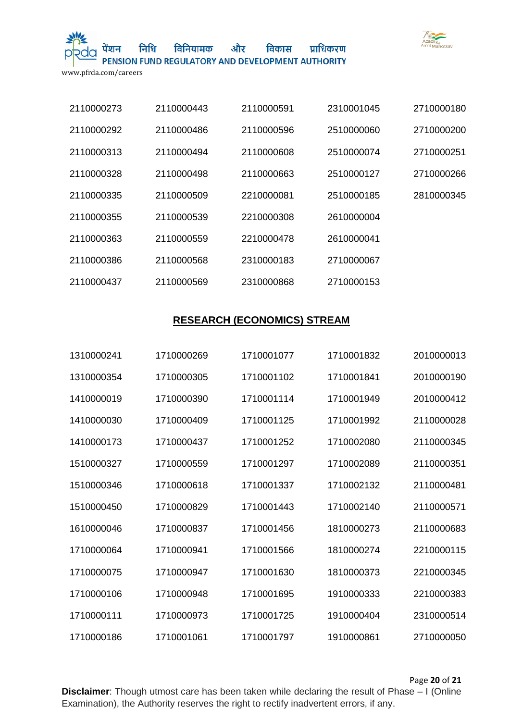

और विनियामक विकास प्राधिकरण

PENSION FUND REGULATORY AND DEVELOPMENT AUTHORITY

www.pfrda.com/careers

| 2110000273 | 2110000443 | 2110000591 | 2310001045 | 2710000180 |
|------------|------------|------------|------------|------------|
| 2110000292 | 2110000486 | 2110000596 | 2510000060 | 2710000200 |
| 2110000313 | 2110000494 | 2110000608 | 2510000074 | 2710000251 |
| 2110000328 | 2110000498 | 2110000663 | 2510000127 | 2710000266 |
| 2110000335 | 2110000509 | 2210000081 | 2510000185 | 2810000345 |
| 2110000355 | 2110000539 | 2210000308 | 2610000004 |            |
| 2110000363 | 2110000559 | 2210000478 | 2610000041 |            |
| 2110000386 | 2110000568 | 2310000183 | 2710000067 |            |
| 2110000437 | 2110000569 | 2310000868 | 2710000153 |            |

# **RESEARCH (ECONOMICS) STREAM**

| 1310000241 | 1710000269 | 1710001077 | 1710001832 | 2010000013 |
|------------|------------|------------|------------|------------|
| 1310000354 | 1710000305 | 1710001102 | 1710001841 | 2010000190 |
| 1410000019 | 1710000390 | 1710001114 | 1710001949 | 2010000412 |
| 1410000030 | 1710000409 | 1710001125 | 1710001992 | 2110000028 |
| 1410000173 | 1710000437 | 1710001252 | 1710002080 | 2110000345 |
| 1510000327 | 1710000559 | 1710001297 | 1710002089 | 2110000351 |
| 1510000346 | 1710000618 | 1710001337 | 1710002132 | 2110000481 |
| 1510000450 | 1710000829 | 1710001443 | 1710002140 | 2110000571 |
| 1610000046 | 1710000837 | 1710001456 | 1810000273 | 2110000683 |
| 1710000064 | 1710000941 | 1710001566 | 1810000274 | 2210000115 |
| 1710000075 | 1710000947 | 1710001630 | 1810000373 | 2210000345 |
| 1710000106 | 1710000948 | 1710001695 | 1910000333 | 2210000383 |
| 1710000111 | 1710000973 | 1710001725 | 1910000404 | 2310000514 |
| 1710000186 | 1710001061 | 1710001797 | 1910000861 | 2710000050 |